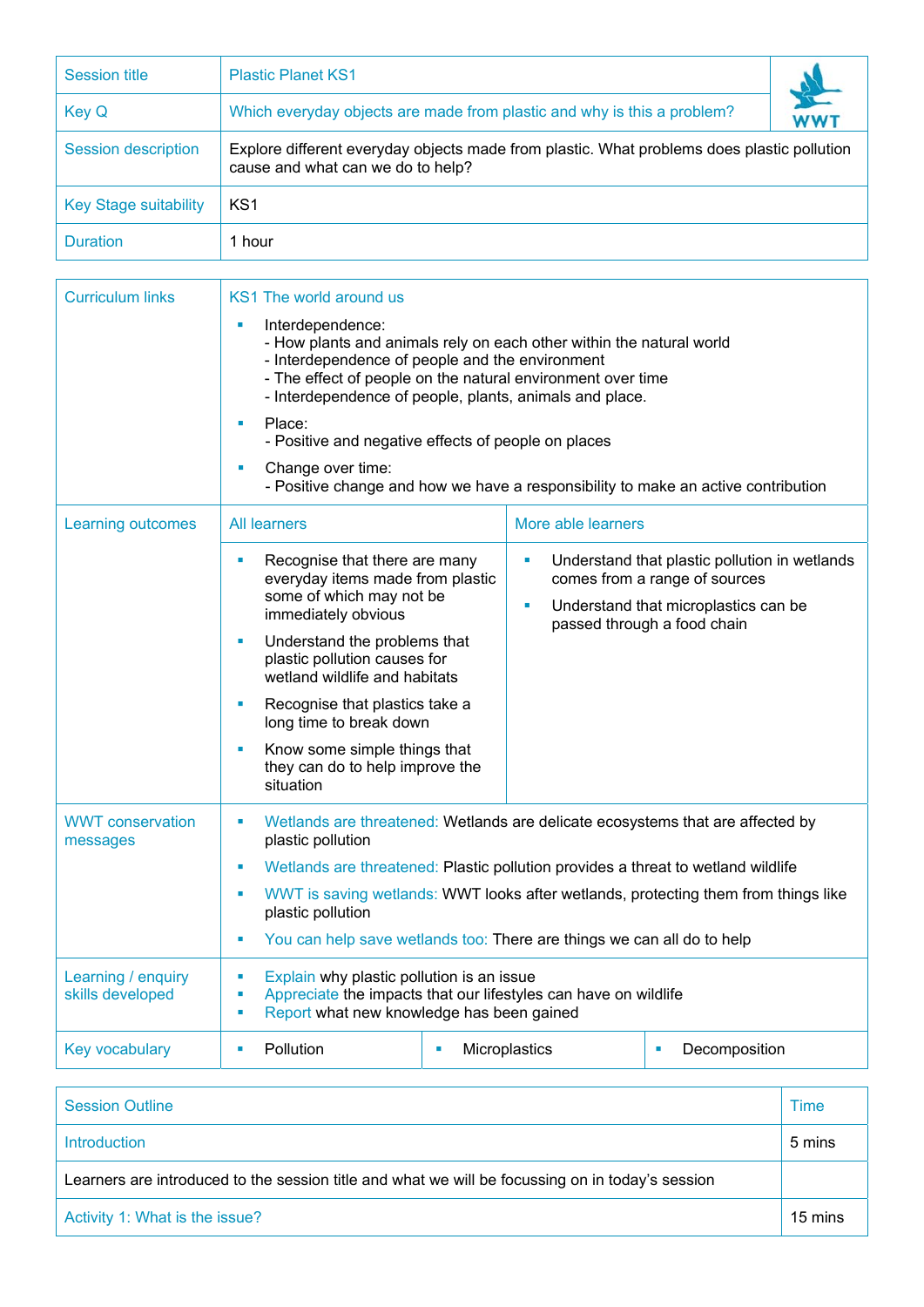| <b>Session title</b>         | <b>Plastic Planet KS1</b>                                                                                                       |     |  |  |
|------------------------------|---------------------------------------------------------------------------------------------------------------------------------|-----|--|--|
| <b>Key Q</b>                 | Which everyday objects are made from plastic and why is this a problem?                                                         | WWT |  |  |
| <b>Session description</b>   | Explore different everyday objects made from plastic. What problems does plastic pollution<br>cause and what can we do to help? |     |  |  |
| <b>Key Stage suitability</b> | KS1                                                                                                                             |     |  |  |
| <b>Duration</b>              | 1 hour                                                                                                                          |     |  |  |

| <b>Curriculum links</b>                | KS1 The world around us                                                                                                                                                                                                                                                                                                                          |                    |                                                                                |  |  |
|----------------------------------------|--------------------------------------------------------------------------------------------------------------------------------------------------------------------------------------------------------------------------------------------------------------------------------------------------------------------------------------------------|--------------------|--------------------------------------------------------------------------------|--|--|
|                                        | Interdependence:<br>×<br>- How plants and animals rely on each other within the natural world<br>- Interdependence of people and the environment<br>- The effect of people on the natural environment over time<br>- Interdependence of people, plants, animals and place.<br>Place:<br>٠<br>- Positive and negative effects of people on places |                    |                                                                                |  |  |
|                                        |                                                                                                                                                                                                                                                                                                                                                  |                    |                                                                                |  |  |
|                                        | Change over time:<br>- Positive change and how we have a responsibility to make an active contribution                                                                                                                                                                                                                                           |                    |                                                                                |  |  |
| <b>Learning outcomes</b>               | <b>All learners</b>                                                                                                                                                                                                                                                                                                                              | More able learners |                                                                                |  |  |
|                                        | Recognise that there are many<br>everyday items made from plastic<br>some of which may not be                                                                                                                                                                                                                                                    | Ù,                 | Understand that plastic pollution in wetlands<br>comes from a range of sources |  |  |
|                                        | immediately obvious                                                                                                                                                                                                                                                                                                                              | Ű.                 | Understand that microplastics can be<br>passed through a food chain            |  |  |
|                                        | Understand the problems that<br>ш<br>plastic pollution causes for<br>wetland wildlife and habitats                                                                                                                                                                                                                                               |                    |                                                                                |  |  |
|                                        | Recognise that plastics take a<br>long time to break down                                                                                                                                                                                                                                                                                        |                    |                                                                                |  |  |
|                                        | Know some simple things that<br>they can do to help improve the<br>situation                                                                                                                                                                                                                                                                     |                    |                                                                                |  |  |
| <b>WWT</b> conservation<br>messages    | Wetlands are threatened: Wetlands are delicate ecosystems that are affected by                                                                                                                                                                                                                                                                   |                    |                                                                                |  |  |
|                                        | Wetlands are threatened: Plastic pollution provides a threat to wetland wildlife<br>×                                                                                                                                                                                                                                                            |                    |                                                                                |  |  |
|                                        | WWT is saving wetlands: WWT looks after wetlands, protecting them from things like<br>×<br>plastic pollution                                                                                                                                                                                                                                     |                    |                                                                                |  |  |
|                                        | You can help save wetlands too: There are things we can all do to help<br>×                                                                                                                                                                                                                                                                      |                    |                                                                                |  |  |
| Learning / enquiry<br>skills developed | Explain why plastic pollution is an issue<br>ш<br>Appreciate the impacts that our lifestyles can have on wildlife<br>Ű,<br>Report what new knowledge has been gained<br>Ű,                                                                                                                                                                       |                    |                                                                                |  |  |
| <b>Key vocabulary</b>                  | Pollution<br>×<br>×                                                                                                                                                                                                                                                                                                                              | Microplastics      | Decomposition<br>×                                                             |  |  |

| <b>Session Outline</b>                                                                           | Time    |  |
|--------------------------------------------------------------------------------------------------|---------|--|
| Introduction                                                                                     | 5 mins  |  |
| Learners are introduced to the session title and what we will be focussing on in today's session |         |  |
| Activity 1: What is the issue?                                                                   | 15 mins |  |